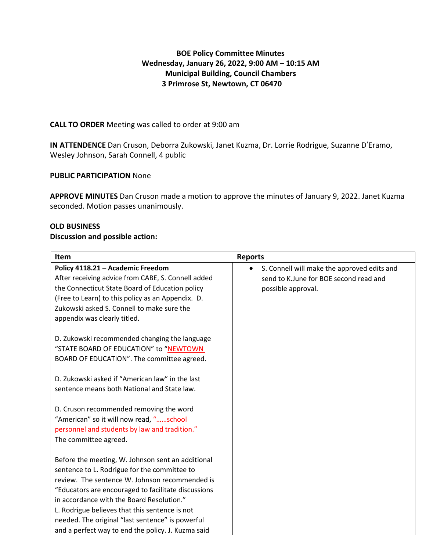# **BOE Policy Committee Minutes Wednesday, January 26, 2022, 9:00 AM – 10:15 AM Municipal Building, Council Chambers 3 Primrose St, Newtown, CT 06470**

## **CALL TO ORDER** Meeting was called to order at 9:00 am

**IN ATTENDENCE** Dan Cruson, Deborra Zukowski, Janet Kuzma, Dr. Lorrie Rodrigue, Suzanne D'Eramo, Wesley Johnson, Sarah Connell, 4 public

### **PUBLIC PARTICIPATION** None

**APPROVE MINUTES** Dan Cruson made a motion to approve the minutes of January 9, 2022. Janet Kuzma seconded. Motion passes unanimously.

### **OLD BUSINESS**

### **Discussion and possible action:**

| Item                                                                                                                                                                                                                                                                                                                                                          | <b>Reports</b>                                                                                              |
|---------------------------------------------------------------------------------------------------------------------------------------------------------------------------------------------------------------------------------------------------------------------------------------------------------------------------------------------------------------|-------------------------------------------------------------------------------------------------------------|
| Policy 4118.21 - Academic Freedom<br>After receiving advice from CABE, S. Connell added<br>the Connecticut State Board of Education policy<br>(Free to Learn) to this policy as an Appendix. D.<br>Zukowski asked S. Connell to make sure the                                                                                                                 | S. Connell will make the approved edits and<br>send to K.June for BOE second read and<br>possible approval. |
| appendix was clearly titled.<br>D. Zukowski recommended changing the language<br>"STATE BOARD OF EDUCATION" to "NEWTOWN<br>BOARD OF EDUCATION". The committee agreed.                                                                                                                                                                                         |                                                                                                             |
| D. Zukowski asked if "American law" in the last<br>sentence means both National and State law.                                                                                                                                                                                                                                                                |                                                                                                             |
| D. Cruson recommended removing the word<br>"American" so it will now read, "school<br>personnel and students by law and tradition."<br>The committee agreed.                                                                                                                                                                                                  |                                                                                                             |
| Before the meeting, W. Johnson sent an additional<br>sentence to L. Rodrigue for the committee to<br>review. The sentence W. Johnson recommended is<br>"Educators are encouraged to facilitate discussions<br>in accordance with the Board Resolution."<br>L. Rodrigue believes that this sentence is not<br>needed. The original "last sentence" is powerful |                                                                                                             |
| and a perfect way to end the policy. J. Kuzma said                                                                                                                                                                                                                                                                                                            |                                                                                                             |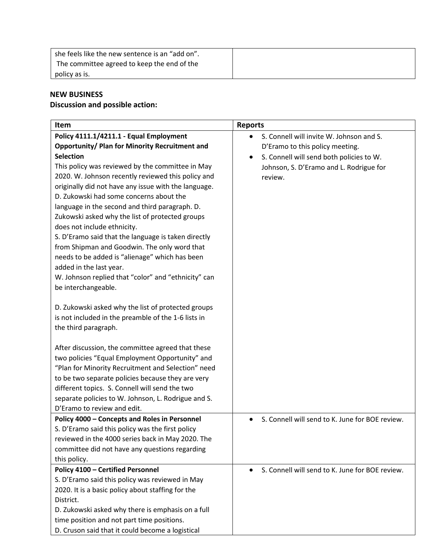| she feels like the new sentence is an "add on". |  |
|-------------------------------------------------|--|
| The committee agreed to keep the end of the     |  |
| policy as is.                                   |  |

# **NEW BUSINESS**

# **Discussion and possible action:**

| Item                                                  | <b>Reports</b>                                        |
|-------------------------------------------------------|-------------------------------------------------------|
| Policy 4111.1/4211.1 - Equal Employment               | S. Connell will invite W. Johnson and S.              |
| <b>Opportunity/ Plan for Minority Recruitment and</b> | D'Eramo to this policy meeting.                       |
| <b>Selection</b>                                      | S. Connell will send both policies to W.<br>$\bullet$ |
| This policy was reviewed by the committee in May      | Johnson, S. D'Eramo and L. Rodrigue for               |
| 2020. W. Johnson recently reviewed this policy and    | review.                                               |
| originally did not have any issue with the language.  |                                                       |
| D. Zukowski had some concerns about the               |                                                       |
| language in the second and third paragraph. D.        |                                                       |
| Zukowski asked why the list of protected groups       |                                                       |
| does not include ethnicity.                           |                                                       |
| S. D'Eramo said that the language is taken directly   |                                                       |
| from Shipman and Goodwin. The only word that          |                                                       |
| needs to be added is "alienage" which has been        |                                                       |
| added in the last year.                               |                                                       |
| W. Johnson replied that "color" and "ethnicity" can   |                                                       |
| be interchangeable.                                   |                                                       |
|                                                       |                                                       |
| D. Zukowski asked why the list of protected groups    |                                                       |
| is not included in the preamble of the 1-6 lists in   |                                                       |
| the third paragraph.                                  |                                                       |
|                                                       |                                                       |
| After discussion, the committee agreed that these     |                                                       |
| two policies "Equal Employment Opportunity" and       |                                                       |
| "Plan for Minority Recruitment and Selection" need    |                                                       |
| to be two separate policies because they are very     |                                                       |
| different topics. S. Connell will send the two        |                                                       |
| separate policies to W. Johnson, L. Rodrigue and S.   |                                                       |
| D'Eramo to review and edit.                           |                                                       |
| Policy 4000 - Concepts and Roles in Personnel         | S. Connell will send to K. June for BOE review.       |
| S. D'Eramo said this policy was the first policy      |                                                       |
| reviewed in the 4000 series back in May 2020. The     |                                                       |
| committee did not have any questions regarding        |                                                       |
| this policy.                                          |                                                       |
| <b>Policy 4100 - Certified Personnel</b>              | S. Connell will send to K. June for BOE review.       |
| S. D'Eramo said this policy was reviewed in May       |                                                       |
| 2020. It is a basic policy about staffing for the     |                                                       |
| District.                                             |                                                       |
| D. Zukowski asked why there is emphasis on a full     |                                                       |
| time position and not part time positions.            |                                                       |
| D. Cruson said that it could become a logistical      |                                                       |